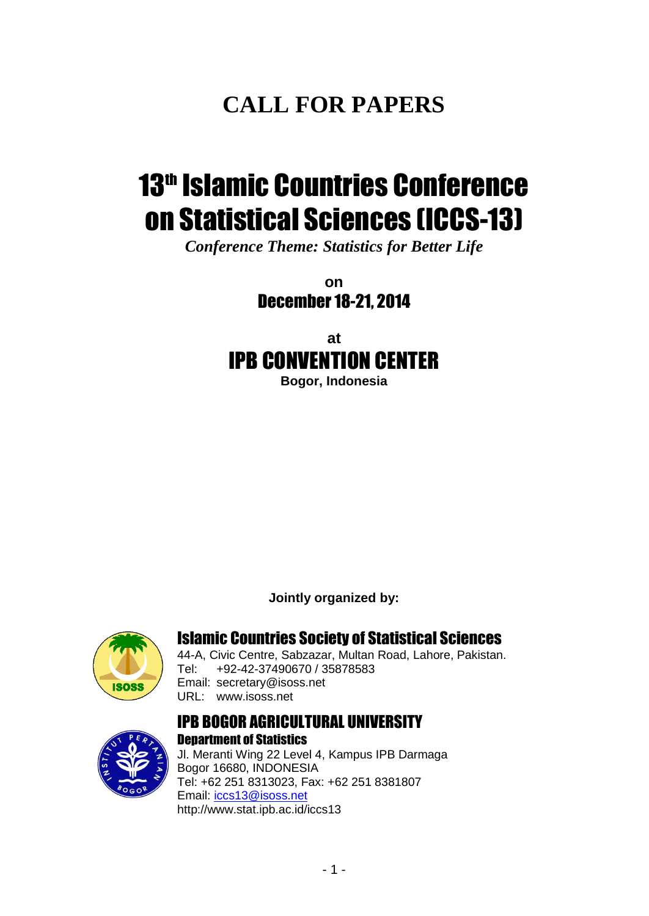# **CALL FOR PAPERS**

# 13<sup>th</sup> Islamic Countries Conference on Statistical Sciences (ICCS-13)

*Conference Theme: Statistics for Better Life*

**on** December 18-21, 2014

# **at** IPB CONVENTION CENTER

**Bogor, Indonesia**

**Jointly organized by:**



### Islamic Countries Society of Statistical Sciences

44-A, Civic Centre, Sabzazar, Multan Road, Lahore, Pakistan. Tel: +92-42-37490670 / 35878583 Email: [secretary@isoss.net](mailto:secretary@isoss.com.pk) URL: [www.isoss.net](http://www.isoss.com.pk/)

#### IPB BOGOR AGRICULTURAL UNIVERSITY Department of Statistics



Jl. Meranti Wing 22 Level 4, Kampus IPB Darmaga Bogor 16680, INDONESIA Tel: +62 251 8313023, Fax: +62 251 8381807 Email: [iccs13@isoss.net](mailto:iccs13@isoss.net) <http://www.stat.ipb.ac.id/iccs13>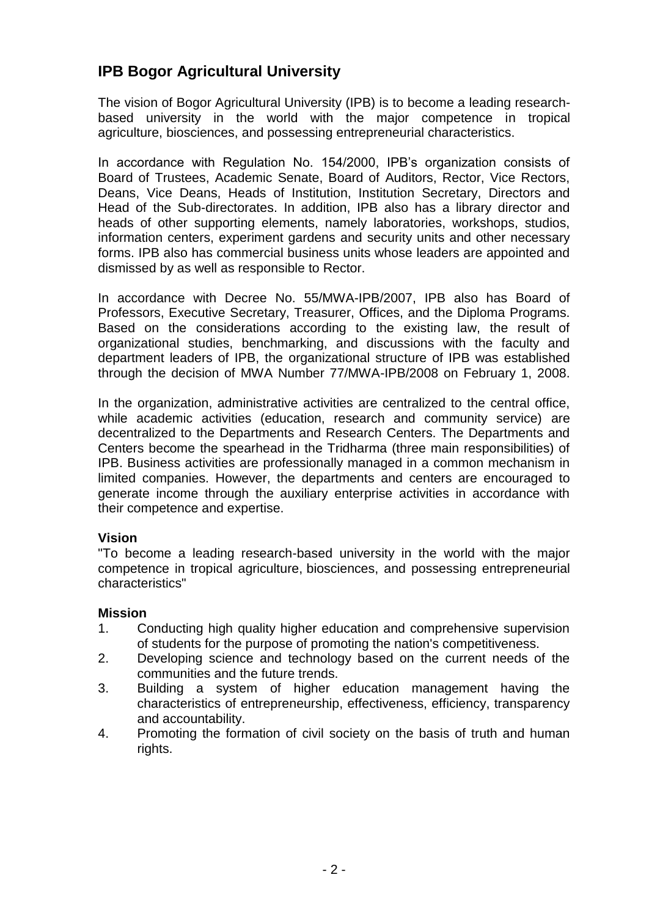## **IPB Bogor Agricultural University**

The vision of Bogor Agricultural University (IPB) is to become a leading researchbased university in the world with the major competence in tropical agriculture, biosciences, and possessing entrepreneurial characteristics.

In accordance with Regulation No. 154/2000, IPB's organization consists of Board of Trustees, Academic Senate, Board of Auditors, Rector, Vice Rectors, Deans, Vice Deans, Heads of Institution, Institution Secretary, Directors and Head of the Sub-directorates. In addition, IPB also has a library director and heads of other supporting elements, namely laboratories, workshops, studios, information centers, experiment gardens and security units and other necessary forms. IPB also has commercial business units whose leaders are appointed and dismissed by as well as responsible to Rector.

In accordance with Decree No. 55/MWA-IPB/2007, IPB also has Board of Professors, Executive Secretary, Treasurer, Offices, and the Diploma Programs. Based on the considerations according to the existing law, the result of organizational studies, benchmarking, and discussions with the faculty and department leaders of IPB, the organizational structure of IPB was established through the decision of MWA Number 77/MWA-IPB/2008 on February 1, 2008.

In the organization, administrative activities are centralized to the central office, while academic activities (education, research and community service) are decentralized to the Departments and Research Centers. The Departments and Centers become the spearhead in the Tridharma (three main responsibilities) of IPB. Business activities are professionally managed in a common mechanism in limited companies. However, the departments and centers are encouraged to generate income through the auxiliary enterprise activities in accordance with their competence and expertise.

#### **Vision**

"To become a leading research-based university in the world with the major competence in tropical agriculture, biosciences, and possessing entrepreneurial characteristics"

#### **Mission**

- 1. Conducting high quality higher education and comprehensive supervision of students for the purpose of promoting the nation's competitiveness.
- 2. Developing science and technology based on the current needs of the communities and the future trends.
- 3. Building a system of higher education management having the characteristics of entrepreneurship, effectiveness, efficiency, transparency and accountability.
- 4. Promoting the formation of civil society on the basis of truth and human rights.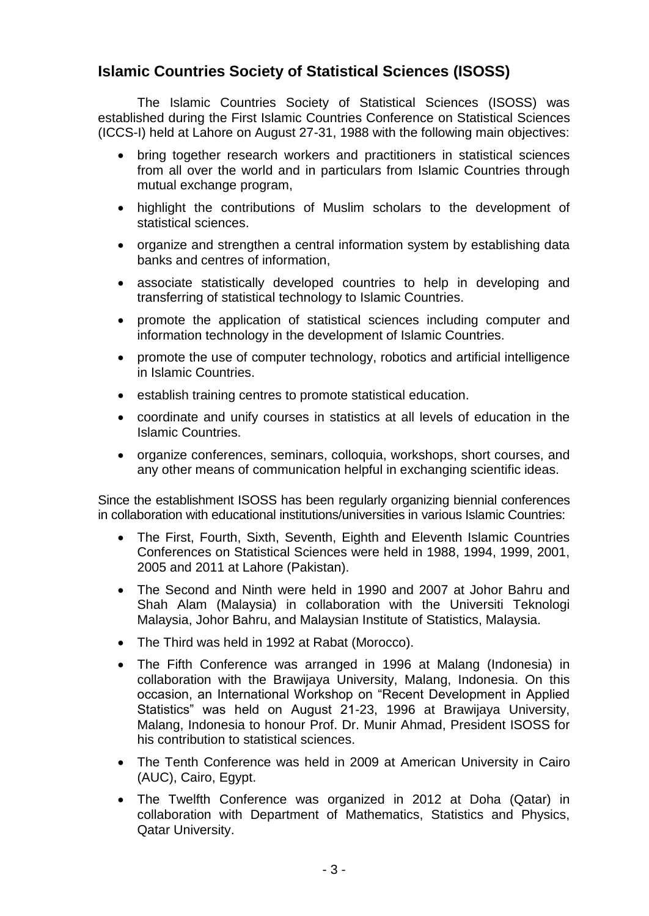#### **Islamic Countries Society of Statistical Sciences (ISOSS)**

The Islamic Countries Society of Statistical Sciences (ISOSS) was established during the First Islamic Countries Conference on Statistical Sciences (ICCS-I) held at Lahore on August 27-31, 1988 with the following main objectives:

- bring together research workers and practitioners in statistical sciences from all over the world and in particulars from Islamic Countries through mutual exchange program,
- highlight the contributions of Muslim scholars to the development of statistical sciences.
- organize and strengthen a central information system by establishing data banks and centres of information,
- associate statistically developed countries to help in developing and transferring of statistical technology to Islamic Countries.
- promote the application of statistical sciences including computer and information technology in the development of Islamic Countries.
- promote the use of computer technology, robotics and artificial intelligence in Islamic Countries.
- **•** establish training centres to promote statistical education.
- coordinate and unify courses in statistics at all levels of education in the Islamic Countries.
- organize conferences, seminars, colloquia, workshops, short courses, and any other means of communication helpful in exchanging scientific ideas.

Since the establishment ISOSS has been regularly organizing biennial conferences in collaboration with educational institutions/universities in various Islamic Countries:

- The First, Fourth, Sixth, Seventh, Eighth and Eleventh Islamic Countries Conferences on Statistical Sciences were held in 1988, 1994, 1999, 2001, 2005 and 2011 at Lahore (Pakistan).
- The Second and Ninth were held in 1990 and 2007 at Johor Bahru and Shah Alam (Malaysia) in collaboration with the Universiti Teknologi Malaysia, Johor Bahru, and Malaysian Institute of Statistics, Malaysia.
- The Third was held in 1992 at Rabat (Morocco).
- The Fifth Conference was arranged in 1996 at Malang (Indonesia) in collaboration with the Brawijaya University, Malang, Indonesia. On this occasion, an International Workshop on "Recent Development in Applied Statistics" was held on August 21-23, 1996 at Brawijaya University, Malang, Indonesia to honour Prof. Dr. Munir Ahmad, President ISOSS for his contribution to statistical sciences.
- The Tenth Conference was held in 2009 at [American University in Cairo](http://www.aucegypt.edu/) (AUC), Cairo, Egypt.
- The Twelfth Conference was organized in 2012 at Doha (Qatar) in collaboration with Department of Mathematics, Statistics and Physics, Qatar University.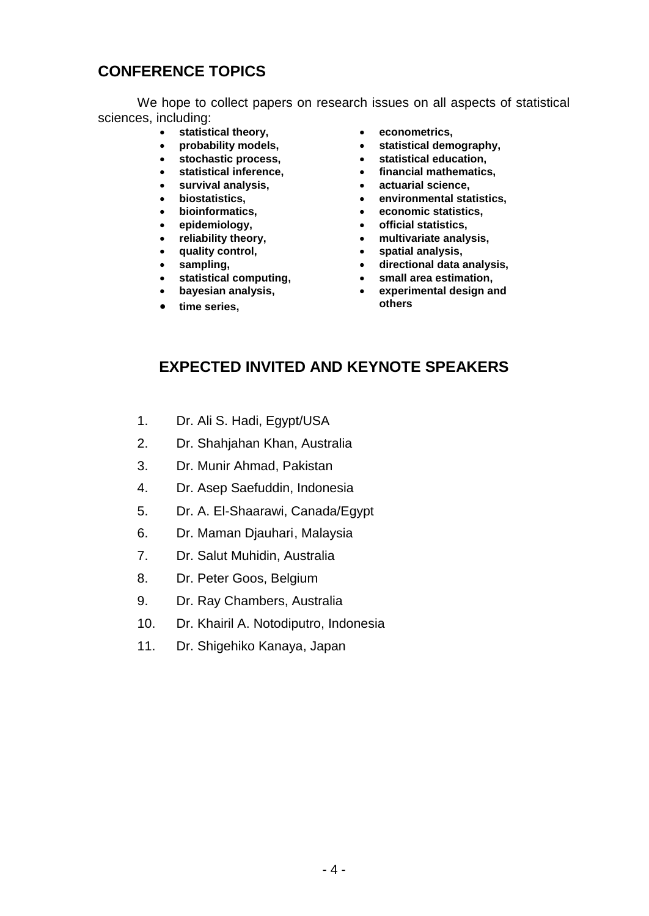## **CONFERENCE TOPICS**

We hope to collect papers on research issues on all aspects of statistical sciences, including:

- **statistical theory,**
- **probability models,**
- **stochastic process,**
- **statistical inference,**
- **survival analysis,**
- **biostatistics,**
- **bioinformatics,**
- **epidemiology,**
- **reliability theory,**
- **quality control,**
- **sampling,**
- **statistical computing,**
- **bayesian analysis,**
- **time series,**
- **econometrics,**
- **statistical demography,**
- **statistical education,**
- **financial mathematics,**
- **actuarial science,**
- **environmental statistics,**
- **economic statistics,**
- **official statistics,**
- **multivariate analysis,**
- **spatial analysis,**
- **directional data analysis,**
- **small area estimation,**
- **experimental design and others**

### **EXPECTED INVITED AND KEYNOTE SPEAKERS**

- 1. Dr. Ali S. Hadi, Egypt/USA
- 2. Dr. Shahjahan Khan, Australia
- 3. Dr. Munir Ahmad, Pakistan
- 4. Dr. Asep Saefuddin, Indonesia
- 5. Dr. A. El-Shaarawi, Canada/Egypt
- 6. Dr. Maman Djauhari, Malaysia
- 7. Dr. Salut Muhidin, Australia
- 8. Dr. Peter Goos, Belgium
- 9. Dr. Ray Chambers, Australia
- 10. Dr. Khairil A. Notodiputro, Indonesia
- 11. Dr. Shigehiko Kanaya, Japan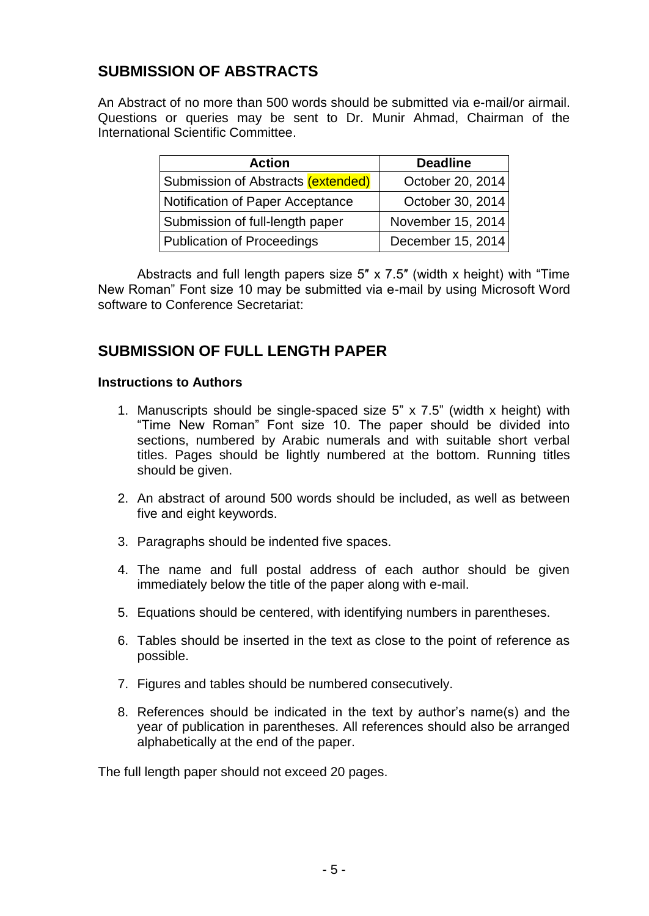## **SUBMISSION OF ABSTRACTS**

An Abstract of no more than 500 words should be submitted via e-mail/or airmail. Questions or queries may be sent to Dr. Munir Ahmad, Chairman of the International Scientific Committee.

| <b>Action</b>                      | <b>Deadline</b>   |  |
|------------------------------------|-------------------|--|
| Submission of Abstracts (extended) | October 20, 2014  |  |
| Notification of Paper Acceptance   | October 30, 2014  |  |
| Submission of full-length paper    | November 15, 2014 |  |
| <b>Publication of Proceedings</b>  | December 15, 2014 |  |

Abstracts and full length papers size 5″ x 7.5″ (width x height) with "Time New Roman" Font size 10 may be submitted via e-mail by using Microsoft Word software to Conference Secretariat:

### **SUBMISSION OF FULL LENGTH PAPER**

#### **Instructions to Authors**

- 1. Manuscripts should be single-spaced size  $5$ " x  $7.5$ " (width x height) with "Time New Roman" Font size 10. The paper should be divided into sections, numbered by Arabic numerals and with suitable short verbal titles. Pages should be lightly numbered at the bottom. Running titles should be given.
- 2. An abstract of around 500 words should be included, as well as between five and eight keywords.
- 3. Paragraphs should be indented five spaces.
- 4. The name and full postal address of each author should be given immediately below the title of the paper along with e-mail.
- 5. Equations should be centered, with identifying numbers in parentheses.
- 6. Tables should be inserted in the text as close to the point of reference as possible.
- 7. Figures and tables should be numbered consecutively.
- 8. References should be indicated in the text by author's name(s) and the year of publication in parentheses. All references should also be arranged alphabetically at the end of the paper.

The full length paper should not exceed 20 pages.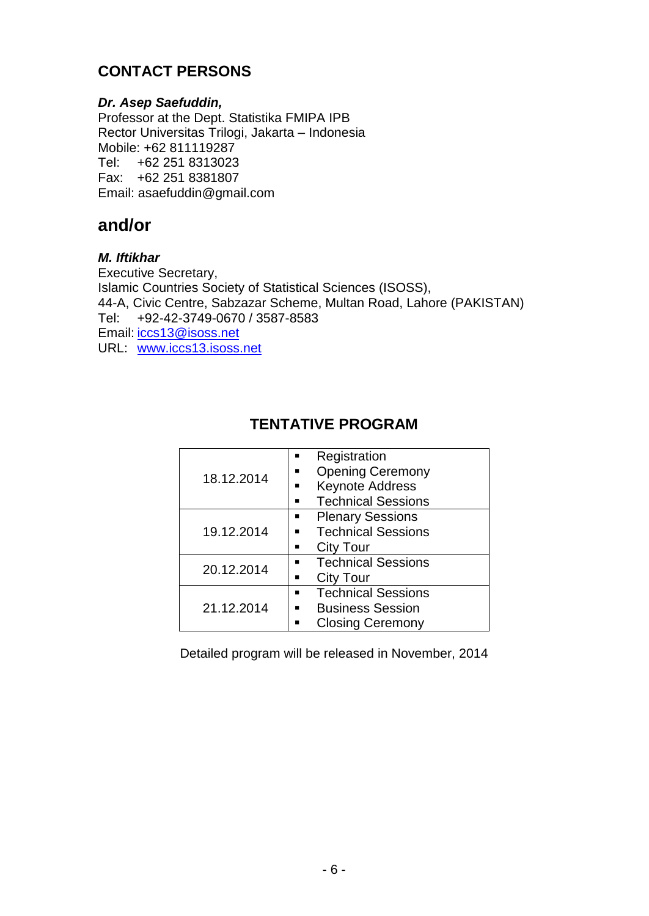## **CONTACT PERSONS**

#### *Dr. Asep Saefuddin,*

Professor at the Dept. Statistika FMIPA IPB Rector Universitas Trilogi, Jakarta – Indonesia Mobile: +62 811119287 Tel: +62 251 8313023 Fax: +62 251 8381807 Email: [asaefuddin@gmail.com](mailto:asaefuddin@gmail.com)

## **and/or**

#### *M. Iftikhar*

Executive Secretary, Islamic Countries Society of Statistical Sciences (ISOSS), 44-A, Civic Centre, Sabzazar Scheme, Multan Road, Lahore (PAKISTAN) Tel: +92-42-3749-0670 / 3587-8583 Email: [iccs13@isoss.net](mailto:iccs13@isoss.net) URL: [www.iccs13.isoss.net](http://www.iccs13.isoss.net/)

## **TENTATIVE PROGRAM**

| 18.12.2014 | Registration<br><b>Opening Ceremony</b><br><b>Keynote Address</b><br><b>Technical Sessions</b> |
|------------|------------------------------------------------------------------------------------------------|
| 19.12.2014 | <b>Plenary Sessions</b><br>▪<br><b>Technical Sessions</b><br><b>City Tour</b>                  |
| 20.12.2014 | <b>Technical Sessions</b><br><b>City Tour</b><br>▪                                             |
| 21.12.2014 | <b>Technical Sessions</b><br><b>Business Session</b><br><b>Closing Ceremony</b>                |

Detailed program will be released in November, 2014